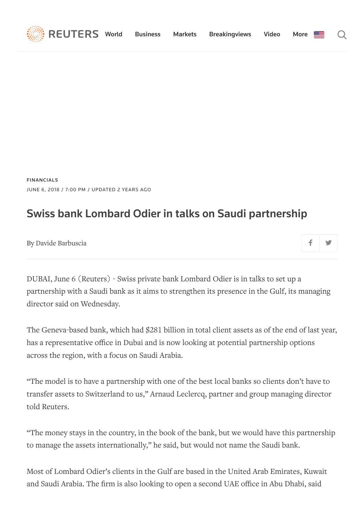



[FINANCIALS](https://www.reuters.com/news/archive/financialsSector) JUNE 6, 2018 / 7:00 PM / UPDATED 2 YEARS AGO

## Swiss bank Lombard Odier in talks on Saudi partnership

By [Davide Barbuscia](https://www.reuters.com/journalists/davide-barbuscia)

DUBAI, June 6 (Reuters) - Swiss private bank Lombard Odier is in talks to set up a partnership with a Saudi bank as it aims to strengthen its presence in the Gulf, its managing director said on Wednesday.

The Geneva-based bank, which had \$281 billion in total client assets as of the end of last year, has a representative office in Dubai and is now looking at potential partnership options across the region, with a focus on Saudi Arabia.

"The model is to have a partnership with one of the best local banks so clients don't have to transfer assets to Switzerland to us," Arnaud Leclercq, partner and group managing director told Reuters.

"The money stays in the country, in the book of the bank, but we would have this partnership to manage the assets internationally," he said, but would not name the Saudi bank.

Most of Lombard Odier's clients in the Gulf are based in the United Arab Emirates, Kuwait and Saudi Arabia. The firm is also looking to open a second UAE office in Abu Dhabi, said